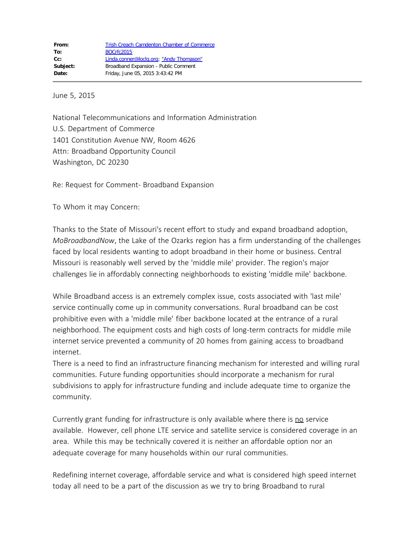June 5, 2015

National Telecommunications and Information Administration U.S. Department of Commerce 1401 Constitution Avenue NW, Room 4626 Attn: Broadband Opportunity Council Washington, DC 20230

Re: Request for Comment- Broadband Expansion

To Whom it may Concern:

Thanks to the State of Missouri's recent effort to study and expand broadband adoption, *MoBroadbandNow*, the Lake of the Ozarks region has a firm understanding of the challenges faced by local residents wanting to adopt broadband in their home or business. Central Missouri is reasonably well served by the 'middle mile' provider. The region's major challenges lie in affordably connecting neighborhoods to existing 'middle mile' backbone.

While Broadband access is an extremely complex issue, costs associated with 'last mile' service continually come up in community conversations. Rural broadband can be cost prohibitive even with a 'middle mile' fiber backbone located at the entrance of a rural neighborhood. The equipment costs and high costs of long-term contracts for middle mile internet service prevented a community of 20 homes from gaining access to broadband internet.

There is a need to find an infrastructure financing mechanism for interested and willing rural communities. Future funding opportunities should incorporate a mechanism for rural subdivisions to apply for infrastructure funding and include adequate time to organize the community.

Currently grant funding for infrastructure is only available where there is no service available. However, cell phone LTE service and satellite service is considered coverage in an area. While this may be technically covered it is neither an affordable option nor an adequate coverage for many households within our rural communities.

Redefining internet coverage, affordable service and what is considered high speed internet today all need to be a part of the discussion as we try to bring Broadband to rural